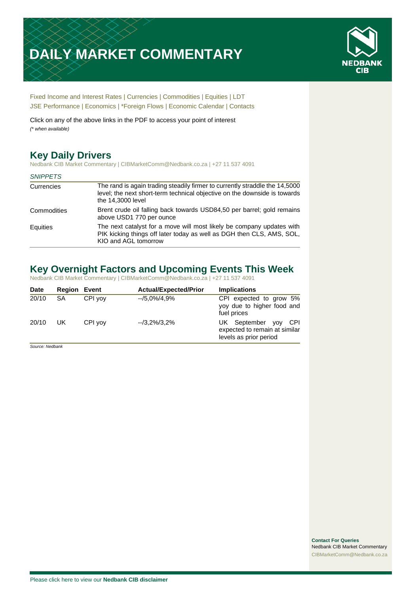# **DAILY MARKET COMMENTARY**



[Fixed Income and Interest Rates](#page-1-0) | [Currencies](#page-2-0) | [Commodities](#page-3-0) [| Equities](#page-4-0) | [LDT](#page-5-0) [JSE Performance](#page-6-0) [| Economics](#page-7-0) | [\\*Foreign Flows](#page-7-0) | [Economic Calendar](#page-7-0) | [Contacts](#page-8-0)

Click on any of the above links in the PDF to access your point of interest *(\* when available)*

## **Key Daily Drivers**

Nedbank CIB Market Commentary | CIBMarketComm@Nedbank.co.za | +27 11 537 4091

#### *SNIPPETS*

| Currencies  | The rand is again trading steadily firmer to currently straddle the 14,5000<br>level; the next short-term technical objective on the downside is towards<br>the 14,3000 level |
|-------------|-------------------------------------------------------------------------------------------------------------------------------------------------------------------------------|
| Commodities | Brent crude oil falling back towards USD84,50 per barrel; gold remains<br>above USD1 770 per ounce                                                                            |
| Equities    | The next catalyst for a move will most likely be company updates with<br>PIK kicking things off later today as well as DGH then CLS, AMS, SOL,<br>KIO and AGL tomorrow        |

## **Key Overnight Factors and Upcoming Events This Week**

Nedbank CIB Market Commentary | CIBMarketComm@Nedbank.co.za | +27 11 537 4091

| <b>Date</b> | <b>Region Event</b> |         | <b>Actual/Expected/Prior</b> | <b>Implications</b>                                                                  |
|-------------|---------------------|---------|------------------------------|--------------------------------------------------------------------------------------|
| 20/10       | SA                  | CPI yov | --/5,0%/4,9%                 | CPI expected to grow 5%<br>yoy due to higher food and<br>fuel prices                 |
| 20/10       | UK                  | CPI yov | $-3.2\%/3.2\%$               | UK September yoy<br>– CPI<br>expected to remain at similar<br>levels as prior period |

*Source: Nedbank*

**Contact For Queries** Nedbank CIB Market Commentary [CIBMarketComm@Nedbank.co.za](file:///C:/Users/Paul-Rose/AppData/Roaming/Bluecurve/templates/CIBMarketComm@Nedbank.co.za)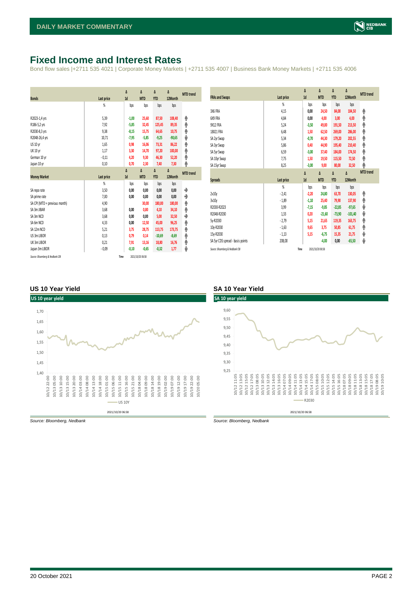## <span id="page-1-0"></span>**Fixed Income and Interest Rates**

Bond flow sales |+2711 535 4021 | Corporate Money Markets | +2711 535 4007 | Business Bank Money Markets | +2711 535 4006

| <b>Bonds</b>                  | Last price     | Δ<br>1d | Δ<br><b>MTD</b> | Δ<br><b>YTD</b> | Δ<br>12Month | <b>MTD</b> trend |
|-------------------------------|----------------|---------|-----------------|-----------------|--------------|------------------|
|                               | %              | bps     | bps             | bps             | bps          |                  |
| R2023-1,4 yrs                 | 5.39           | $-1,00$ | 25,60           | 87,50           | 108,40       | ۸                |
| R186-5,2 yrs                  | 7,92           | $-5,85$ | 32,45           | 125,45          | 89,35        | ۸                |
| R2030-8,3 yrs                 | 9,38           | $-8,15$ | 15,75           | 64,65           | 10,75        | φ                |
| R2048-26,4 yrs                | 10,71          | $-7,95$ | $-5,85$         | $-9,25$         | $-90,65$     | ψ                |
| <b>US 10 vr</b>               | 1,65           | 0,98    | 16,06           | 73,31           | 86,22        | φ                |
| <b>UK 10 yr</b>               | 1,17           | 3,30    | 14,70           | 97,20           | 100,00       | ۸                |
| German 10 yr                  | $-0,11$        | 4,20    | 9,30            | 46,30           | 52,20        | ۸                |
| Japan 10 yr                   | 0,10           | 0,70    | 2,30            | 7,40            | 7,30         | φ                |
|                               |                | Δ       | Δ               | Δ               | Δ            | <b>MTD</b> trend |
|                               |                |         |                 |                 |              |                  |
| <b>Money Market</b>           | Last price     | 1d      | <b>MTD</b>      | <b>YTD</b>      | 12Month      |                  |
|                               | $\frac{9}{20}$ | bps     | bps             | bps             | bps          |                  |
| SA repo rate                  | 3,50           | 0,00    | 0,00            | 0,00            | 0,00         | ۰                |
| SA prime rate                 | 7,00           | 0,00    | 0,00            | 0,00            | 0,00         | ♦                |
| SA CPI (MTD = previous month) | 4,90           |         | 30,00           | 180,00          | 180,00       | ۸                |
| SA 3m JIBAR                   | 3,68           | 0.00    | 0,80            | 4,10            | 34,10        | ۸                |
| SA 3m NCD                     | 3,68           | 0,00    | 0,00            | 5,00            | 32,50        | ٠                |
| SA 6m NCD                     | 4,33           | 0,00    | 12,50           | 45,00           | 96,25        | ۸                |
| SA 12m NCD                    | 5,21           | 3,75    | 28,75           | 113,75          | 173,75       | ۸                |
| US 3m LIBOR                   | 0,13           | 0,79    | 0,14            | $-10,69$        | $-8,69$      | ۸                |
| UK 3m LIBOR                   | 0,21           | 7,91    | 13,16           | 18,80           | 16,76        | ۸                |
| Japan 3m LIBOR                | $-0.09$        | $-0,10$ | $-0,65$         | $-0,32$         | 1,77         | ψ                |

| <b>FRAs and Swaps</b>            | Last price     | Δ<br>1d | Δ<br><b>MTD</b> | Δ<br><b>YTD</b> | Δ<br>12Month | <b>MTD</b> trend |
|----------------------------------|----------------|---------|-----------------|-----------------|--------------|------------------|
|                                  | $\frac{9}{20}$ | bps     | bps             | bps             | bps          |                  |
| 3X6 FRA                          | 4,15           | 0,00    | 24,50           | 84,00           | 104,50       | ۸                |
| 6X9 FRA                          | 4,84           | 0,00    | 4,00            | 3,00            | 4,00         | ۸                |
| 9X12 FRA                         | 5,24           | $-3,50$ | 49,00           | 191,50          | 213,50       | φ                |
| 18X21 FRA                        | 6,48           | 1,50    | 62,50           | 269,00          | 286,00       | φ                |
| SA 2yr Swap                      | 5,34           | $-0,70$ | 44,30           | 179,20          | 202,55       | ۸                |
| SA 3yr Swap                      | 5,86           | 0,40    | 44,90           | 195,40          | 210,40       | φ                |
| SA 5yr Swap                      | 6,59           | $-3,00$ | 37,40           | 184,00          | 174,50       | ۸                |
| SA 10yr Swap                     | 7,75           | 1,50    | 19,50           | 115,50          | 72,50        | φ                |
| SA 15yr Swap                     | 8,25           | $-3,00$ | 9,00            | 80,00           | 32,50        | ۸                |
|                                  |                |         |                 |                 |              |                  |
|                                  |                | Δ       | Δ               | Δ               | Δ            | <b>MTD</b> trend |
| <b>Spreads</b>                   | Last price     | 1d      | <b>MTD</b>      | <b>YTD</b>      | 12Month      |                  |
|                                  | %              | bps     | bps             | bps             | bps          |                  |
| 2v10v                            | $-2,41$        | $-2,20$ | 24,80           | 63,70           | 130,05       | φ                |
| 3v10y                            | $-1,89$        | $-1,10$ | 25,40           | 79,90           | 137,90       | ۸                |
| R2030-R2023                      | 3,99           | $-7,15$ | $-9,85$         | $-22,85$        | $-97,65$     | ψ                |
| R2048-R2030                      | 1,33           | 0,20    | $-21,60$        | $-73,90$        | $-101,40$    | ψ                |
| 5y-R2030                         | $-2,79$        | 5,15    | 21,65           | 119,35          | 163,75       | φ                |
| 10y-R2030                        | $-1,63$        | 9,65    | 3,75            | 50,85           | 61,75        |                  |
| 15y-R2030                        | $-1,13$        | 5,15    | $-6,75$         | 15,35           | 21,75        | ۸<br>ψ           |
| SA 5yr CDS spread - basis points | 208,00         |         | $-4,00$         | 0,00            | $-65,50$     | ψ                |

#### **US 10 Year Yield SA 10 Year Yield**



*Source: Bloomberg, Nedbank Source: Bloomberg, Nedbank*

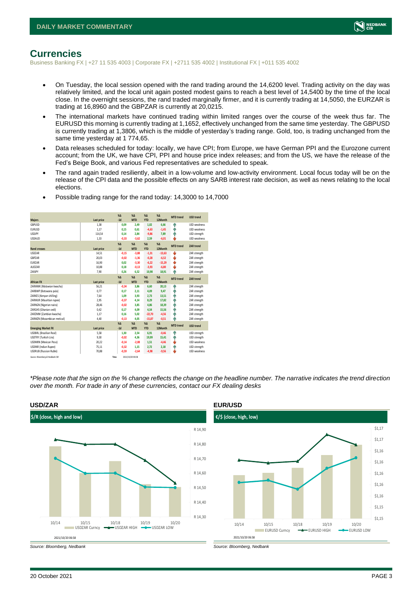

### <span id="page-2-0"></span>**Currencies**

Business Banking FX | +27 11 535 4003 | Corporate FX | +2711 535 4002 | Institutional FX | +011 535 4002

- On Tuesday, the local session opened with the rand trading around the 14,6200 level. Trading activity on the day was relatively limited, and the local unit again posted modest gains to reach a best level of 14,5400 by the time of the local close. In the overnight sessions, the rand traded marginally firmer, and it is currently trading at 14,5050, the EURZAR is trading at 16,8960 and the GBPZAR is currently at 20,0215.
- The international markets have continued trading within limited ranges over the course of the week thus far. The EURUSD this morning is currently trading at 1,1652, effectively unchanged from the same time yesterday. The GBPUSD is currently trading at 1,3806, which is the middle of yesterday's trading range. Gold, too, is trading unchanged from the same time yesterday at 1 774,65.
- Data releases scheduled for today: locally, we have CPI; from Europe, we have German PPI and the Eurozone current account; from the UK, we have CPI, PPI and house price index releases; and from the US, we have the release of the Fed's Beige Book, and various Fed representatives are scheduled to speak.
- The rand again traded resiliently, albeit in a low-volume and low-activity environment. Local focus today will be on the release of the CPI data and the possible effects on any SARB interest rate decision, as well as news relating to the local elections.

| <b>Majors</b>                   | Last price | $X\Delta$<br>$-1d$ | $X\Delta$<br><b>MTD</b> | $% \Delta$<br><b>YTD</b> | $% \Delta$<br>12Month | <b>MTD</b> trend | <b>USD trend</b>    |
|---------------------------------|------------|--------------------|-------------------------|--------------------------|-----------------------|------------------|---------------------|
| GBPUSD                          | 1.38       |                    | 2.49                    |                          | 6.66                  |                  | <b>USD</b> weakness |
|                                 |            | 0,09               |                         | 1,02                     |                       | ٠                |                     |
| <b>EURUSD</b>                   | 1,17       | 0,15               | 0,61                    | $-4,63$                  | $-1,45$               | ٠                | USD weakness        |
| <b>USDJPY</b>                   | 114,54     | 0.14               | 2.84                    | $-9,86$                  | 7,89                  | ٠                | USD strength        |
| <b>USDAUD</b>                   | 1,33       | $-0,33$            | $-3,62$                 | 2,59                     | $-6,01$               | ш                | USD weakness        |
|                                 |            | $X\Delta$          | $X\Delta$               | $% \Delta$               | $% \Delta$            | <b>MTD</b> trend | <b>ZAR trend</b>    |
| <b>Rand crosses</b>             | Last price | $-1d$              | <b>MTD</b>              | <b>YTD</b>               | 12Month               |                  |                     |
| <b>USDZAR</b>                   | 14,51      | $-0,15$            | $-3,88$                 | $-1,31$                  | $-13,63$              | v                | ZAR strength        |
| GBPZAR                          | 20,03      | $-0,02$            | $-1,36$                 | $-0,28$                  | $-6,52$               | v                | ZAR strength        |
| EURZAR                          | 16,90      | 0.02               | $-3,30$                 | $-6,22$                  | $-15,29$              | v                | ZAR strength        |
| AUDZAR                          | 10,88      | 0,18               | $-0,13$                 | $-3,93$                  | $-6,80$               | v                | ZAR strength        |
| ZARJPY                          | 7,90       | 0,26               | 6,52                    | 10,98                    | 18,91                 | ۵                | ZAR strength        |
|                                 |            | X <sub>A</sub>     | X <sub>A</sub>          | $%$ $\Lambda$            | %                     |                  |                     |
| <b>African FX</b>               | Last price | $-1d$              | <b>MTD</b>              | <b>YTD</b>               | 12Month               | <b>MTD</b> trend | ZAR trend           |
| ZARMWK (Malawian kwacha)        | 56.21      | $-0.34$            | 3.86                    | 6,60                     | 20.13                 | ۸                | ZAR strength        |
| ZARBWP (Botswana pula)          | 0.77       | 0.17               | 2.11                    | 4,09                     | 9.47                  | ٠                | ZAR strength        |
| ZARKES (Kenyan shilling)        | 7,64       | 1,09               | 3,93                    | 2,73                     | 13,51                 | ٨                | ZAR strength        |
| ZARMUR (Mauritian rupee)        | 2,95       | $-0,37$            | 4.14                    | 8,29                     | 17,82                 | ٠                | ZAR strength        |
| ZARNGN (Nigerian naira)         | 28,46      | $-0.02$            | 3,85                    | 4,86                     | 18,39                 | ٨                | ZAR strength        |
| ZARGHS (Ghanian cedi)           | 0,42       | 0.17               | 4.09                    | 4,54                     | 15.56                 | Φ                | ZAR strength        |
| ZARZMW (Zambian kwacha)         | 1,17       | 0,16               | 5.02                    | $-22.70$                 | $-4,56$               | φ                | ZAR strength        |
| ZARMZN (Mozambican metical)     | 4,40       | $-0,13$            | 4,05                    | $-15,87$                 | $-0,51$               | ۵                | ZAR strength        |
|                                 |            | X <sub>A</sub>     | X <sub>A</sub>          | $% \Delta$               | $% \Delta$            | <b>MTD</b> trend |                     |
| <b>Emerging Market FX</b>       | Last price | $-1d$              | <b>MTD</b>              | <b>YTD</b>               | 12Month               |                  | <b>USD trend</b>    |
| <b>USDBRL</b> (Brazilian Real)  | 5,58       | 1,30               | 2.54                    | 6,91                     | $-0,46$               | ÷                | USD strength        |
| USDTRY (Turkish Lira)           | 9,30       | $-0,02$            | 4.36                    | 19,99                    | 15,41                 | ٠                | USD strength        |
| <b>USDMXN (Mexican Peso)</b>    | 20,22      | $-0.14$            | $-2.08$                 | 1,51                     | $-4,46$               | v                | USD weakness        |
| <b>USDINR</b> (Indian Rupee)    | 75,11      | $-0,32$            | 1,15                    | 2,72                     | 2,18                  | ۸                | USD strength        |
| <b>USDRUB (Russian Ruble)</b>   | 70.88      | $-0.59$            | $-2.64$                 | $-4,98$                  | $-9,56$               | ė                | <b>USD</b> weakness |
| Source: Bloomberg & Nedbank CIB |            | Time               | 2021/10/20 06:58        |                          |                       |                  |                     |

• Possible trading range for the rand today: 14,3000 to 14,7000

*\*Please note that the sign on the % change reflects the change on the headline number. The narrative indicates the trend direction over the month. For trade in any of these currencies, contact our FX dealing desks*



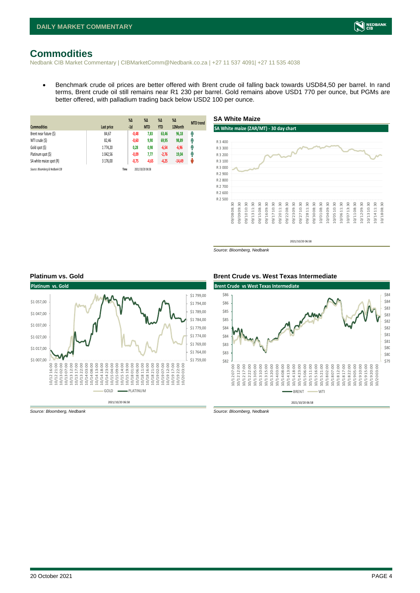## <span id="page-3-0"></span>**Commodities**

Nedbank CIB Market Commentary | CIBMarketComm@Nedbank.co.za | +27 11 537 4091| +27 11 535 4038

• Benchmark crude oil prices are better offered with Brent crude oil falling back towards USD84,50 per barrel. In rand terms, Brent crude oil still remains near R1 230 per barrel. Gold remains above USD1 770 per ounce, but PGMs are better offered, with palladium trading back below USD2 100 per ounce.

| <b>Commodities</b>              | Last price | $%$ $\Delta$<br>$-1d$ | %Δ<br><b>MTD</b> | $%$ $\Delta$<br><b>YTD</b> | $%$ $\Delta$<br>12Month | <b>MTD</b> trend |
|---------------------------------|------------|-----------------------|------------------|----------------------------|-------------------------|------------------|
| Brent near future (\$)          | 84,67      | $-0,48$               | 7,83             | 63,46                      | 96,18                   | Ĥ                |
| WTI crude (\$)                  | 82,46      | $-0,60$               | 9,90             | 69,95                      | 98,89                   | Ĥ                |
| Gold spot (\$)                  | 1774,20    | 0,28                  | 0,98             | $-6,54$                    | $-6,96$                 | f                |
| Platinum spot (\$)              | 1 042,56   | $-0.09$               | 7,77             | $-2,76$                    | 19,04                   | Ŵ                |
| SA white maize spot (R)         | 3 176,00   | $-0,75$               | $-4,65$          | $-4,25$                    | $-14,49$                | W                |
| Source: Bloomberg & Nedbank CIB |            | Time                  | 2021/10/20 06:58 |                            |                         |                  |



*Source: Bloomberg, Nedbank*



#### **Platinum vs. Gold Brent Crude vs. West Texas Intermediate**



*Source: Bloomberg, Nedbank Source: Bloomberg, Nedbank*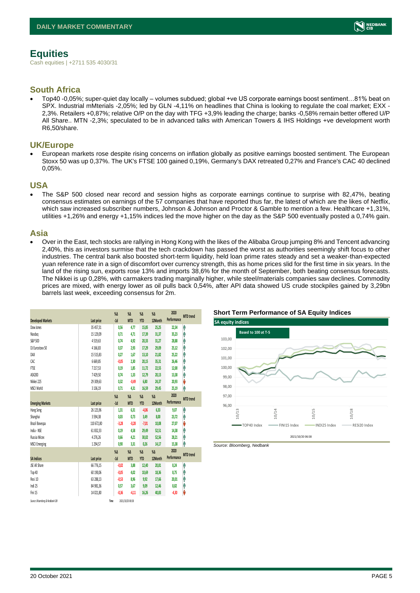## <span id="page-4-0"></span>**Equities**

Cash equities | +2711 535 4030/31

### **South Africa**

• Top40 -0,05%; super-quiet day locally – volumes subdued; global +ve US corporate earnings boost sentiment…81% beat on SPX. Industrial mMterials -2,05%; led by GLN -4,11% on headlines that China is looking to regulate the coal market; EXX - 2,3%. Retailers +0,87%; relative O/P on the day with TFG +3,9% leading the charge; banks -0,58% remain better offered U/P All Share.. MTN -2,3%; speculated to be in advanced talks with American Towers & IHS Holdings +ve development worth R6,50/share.

#### **UK/Europe**

• European markets rose despite rising concerns on inflation globally as positive earnings boosted sentiment. The European Stoxx 50 was up 0,37%. The UK's FTSE 100 gained 0,19%, Germany's DAX retreated 0,27% and France's CAC 40 declined 0,05%.

#### **USA**

The S&P 500 closed near record and session highs as corporate earnings continue to surprise with 82,47%, beating consensus estimates on earnings of the 57 companies that have reported thus far, the latest of which are the likes of Netflix, which saw increased subscriber numbers, Johnson & Johnson and Proctor & Gamble to mention a few. Healthcare +1,31%, utilities +1,26% and energy +1,15% indices led the move higher on the day as the S&P 500 eventually posted a 0,74% gain.

### **Asia**

• Over in the East, tech stocks are rallying in Hong Kong with the likes of the Alibaba Group jumping 8% and Tencent advancing 2,40%, this as investors surmise that the tech crackdown has passed the worst as authorities seemingly shift focus to other industries. The central bank also boosted short-term liquidity, held loan prime rates steady and set a weaker-than-expected yuan reference rate in a sign of discomfort over currency strength, this as home prices slid for the first time in six years. In the land of the rising sun, exports rose 13% and imports 38,6% for the month of September, both beating consensus forecasts. The Nikkei is up 0,28%, with carmakers trading marginally higher, while steel/materials companies saw declines. Commodity prices are mixed, with energy lower as oil pulls back 0,54%, after API data showed US crude stockpiles gained by 3,29bn barrels last week, exceeding consensus for 2m.

|                                 |              | $\%$          | $\%$ $\Delta$    | $\%$          | $\%$ $\Delta$ | 2020        | <b>MTD</b> trend |
|---------------------------------|--------------|---------------|------------------|---------------|---------------|-------------|------------------|
| <b>Developed Markets</b>        | Last price   | $-1d$         | <b>MTD</b>       | <b>YTD</b>    | 12Month       | Performance |                  |
| Dow Jones                       | 35 457.31    | 0.56          | 4.77             | 15,85         | 25,25         | 22,34       | ٨                |
| Nasdao                          | 15 129,09    | 0,71          | 4,71             | 17,39         | 31,37         | 35,23       | ٨                |
| S&P 500                         | 4519.63      | 0.74          | 4.92             | 20,33         | 31,27         | 28,88       | Α                |
| DJ Eurostoxx 50                 | 4 1 6 6, 8 3 | 0,37          | 2,93             | 17,29         | 29,09         | 25,12       | Ą                |
| DAX                             | 15 515,83    | 0,27          | 1,67             | 13,10         | 21,82         | 25,22       | ٨                |
| CAC                             | 6 6 6 9, 8 5 | $-0.05$       | 2.30             | 20,15         | 35,31         | 26,46       | Ĥ                |
| <b>FTSE</b>                     | 7217,53      | 0,19          | 1,85             | 11, 72        | 22,55         | 12,00       | Λ                |
| ASX200                          | 7429,50      | 0,74          | 1,33             | 12,79         | 20,13         | 13,38       | ٨                |
| Nikkei 225                      | 29 309,63    | 0,32          | $-0,49$          | 6,80          | 24,37         | 20,93       | V                |
| MSCI World                      | 3 136,19     | 0,71          | 4,31             | 16,59         | 29,45         | 25,19       | ٨                |
|                                 |              | $\%$          | $\%$ $\Delta$    | $\%$ $\Delta$ | $\%$ $\Delta$ | 2020        | <b>MTD</b> trend |
| <b>Emerging Markets</b>         | Last price   | $-1d$         | <b>MTD</b>       | <b>YTD</b>    | 12Month       | Performance |                  |
| Hang Seng                       | 26 125,96    | 1,31          | 6,31             | $-4,06$       | 6,33          | 9,07        | ٨                |
| Shanghai                        | 3594,38      | 0,03          | 0,73             | 3,49          | 8,00          | 23,72       | Α                |
| Brazil Bovespa                  | 110 672.80   | $-3,28$       | $-0.28$          | $-7,01$       | 10,08         | 27,07       | V                |
| India - NSE                     | 61 832,33    | 0,19          | 4,58             | 29,49         | 52,51         | 14,38       | Λ                |
| Russia Micex                    | 4276,26      | 0,66          | 4,21             | 30,02         | 52,56         | 28,21       | ٨                |
| <b>MSCI Emerging</b>            | 1294,57      | 0.90          | 3,31             | 0,26          | 14,17         | 15,38       | ٨                |
|                                 |              | $\%$ $\Delta$ | $\%$ $\Delta$    | $\%$ $\Delta$ | $\%$          | 2020        |                  |
| <b>SA Indices</b>               | Last price   | $-1d$         | <b>MTD</b>       | <b>YTD</b>    | 12Month       | Performance | <b>MTD</b> trend |
| JSE All Share                   | 66 776.15    | $-0.02$       | 3.88             | 12,40         | 20.81         | 8,24        | ٨                |
| Top 40                          | 60 190,06    | $-0.05$       | 4,02             | 10,69         | 18,36         | 8,75        | ٨                |
| Resi 10                         | 63 288,13    | $-0,53$       | 8.96             | 9,92          | 17,66         | 20,01       | Α                |
| Indi 25                         | 84 981.36    | 0.57          | 3.67             | 9,09          | 12,46         | 8,82        | Ĥ                |
| Fini 15                         | 14 021.80    | $-0,36$       | $-4.11$          | 16,26         | 40,83         | $-4,30$     | V                |
| Source: Bloomberg & Nedbank CIB |              | Time          | 2021/10/20 06:58 |               |               |             |                  |





*Source: Bloomberg, Nedbank*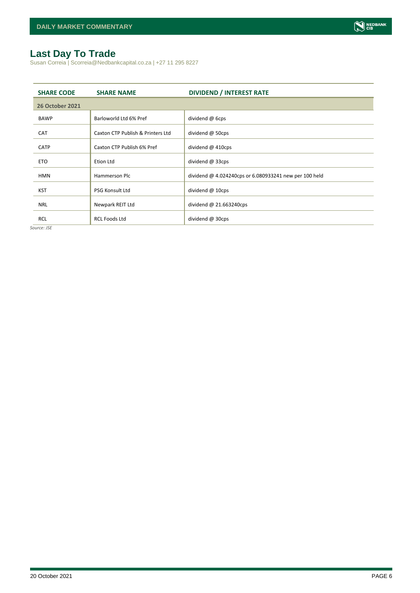## <span id="page-5-0"></span>**Last Day To Trade**

Susan Correia | Scorreia@Nedbankcapital.co.za | +27 11 295 8227

| <b>SHARE CODE</b>      | <b>SHARE NAME</b>                 | <b>DIVIDEND / INTEREST RATE</b>                        |
|------------------------|-----------------------------------|--------------------------------------------------------|
| <b>26 October 2021</b> |                                   |                                                        |
| <b>BAWP</b>            | Barloworld Ltd 6% Pref            | dividend @ 6cps                                        |
| <b>CAT</b>             | Caxton CTP Publish & Printers Ltd | dividend @ 50cps                                       |
| <b>CATP</b>            | Caxton CTP Publish 6% Pref        | dividend @ 410cps                                      |
| <b>ETO</b>             | Etion Ltd                         | dividend @ 33cps                                       |
| <b>HMN</b>             | Hammerson Plc                     | dividend @ 4.024240cps or 6.080933241 new per 100 held |
|                        |                                   |                                                        |
| <b>KST</b>             | <b>PSG Konsult Ltd</b>            | dividend $@$ 10cps                                     |
| <b>NRL</b>             | Newpark REIT Ltd                  | dividend $@$ 21.663240cps                              |
| <b>RCL</b>             | <b>RCL Foods Ltd</b>              | dividend @ 30cps                                       |

*Source: JSE*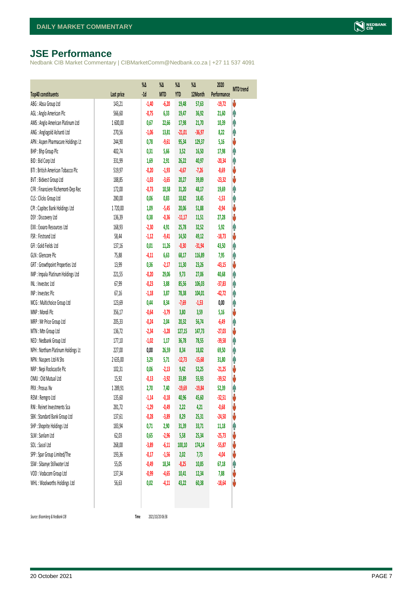## <span id="page-6-0"></span>**JSE Performance**

Nedbank CIB Market Commentary | CIBMarketComm@Nedbank.co.za | +27 11 537 4091

|                                    |            | $\%$ $\Delta$ | %Δ         | %Δ         | %Δ       | 2020        | <b>MTD</b> trend |
|------------------------------------|------------|---------------|------------|------------|----------|-------------|------------------|
| <b>Top40 constituents</b>          | Last price | $-1d$         | <b>MTD</b> | <b>YTD</b> | 12Month  | Performance |                  |
| ABG: Absa Group Ltd                | 143,21     | $-1,40$       | $-6,20$    | 19,48      | 57,63    | $-19,72$    | V                |
| AGL: Anglo American Plc            | 566,60     | $-0,75$       | 6,33       | 19,47      | 36,92    | 21,60       | φ                |
| AMS: Anglo American Platinum Ltd   | 1600,00    | 0,67          | 22,66      | 17,98      | 21,70    | 10,39       | φ                |
| ANG: Anglogold Ashanti Ltd         | 270,56     | $-1,06$       | 13,81      | $-21,01$   | $-36,97$ | 8,22        | φ                |
| APN : Aspen Pharmacare Holdings Lt | 244,90     | 0,78          | $-9,61$    | 95,34      | 129,37   | 5,16        | V                |
| BHP: Bhp Group Plc                 | 402,74     | 0,31          | 5,66       | 3,52       | 16,50    | 17,98       | φ                |
| BID: Bid Corp Ltd                  | 331,99     | 1,69          | 2,91       | 26,22      | 40,97    | $-20,34$    | φ                |
| BTI: British American Tobacco Plc  | 519,97     | $-0,20$       | $-1,93$    | $-4,67$    | $-7,26$  | $-8,69$     | V                |
| BVT: Bidvest Group Ltd             | 188,85     | $-1,03$       | $-3,65$    | 20,27      | 39,89    | $-23,32$    | V                |
| CFR : Financiere Richemont-Dep Rec | 172,00     | $-0,73$       | 10,58      | 31,20      | 48,17    | 19,69       | φ                |
| CLS : Clicks Group Ltd             | 280,00     | 0,06          | 0,83       | 10,82      | 18,45    | $-1,53$     | φ                |
| CPI : Capitec Bank Holdings Ltd    | 1720,00    | 1,09          | $-5,45$    | 20,06      | 51,88    | $-0,94$     | ψ                |
| DSY: Discovery Ltd                 | 136,39     | 0,38          | $-0,36$    | $-11,17$   | 11,51    | 27,28       | V                |
| EXX : Exxaro Resources Ltd         | 168,93     | $-2,30$       | 4,91       | 25,78      | 32,52    | 5,92        | φ                |
| FSR: Firstrand Ltd                 | 58,44      | $-1,12$       | $-9,41$    | 14,50      | 49,12    | $-18,73$    | ψ                |
| GFI: Gold Fields Ltd               | 137,16     | 0,01          | 11,26      | $-0,30$    | $-31,94$ | 43,50       | φ                |
| GLN : Glencore Plc                 | 75,88      | $-4,11$       | 6,63       | 68,17      | 116,89   | 7,95        | φ                |
| GRT : Growthpoint Properties Ltd   | 13,99      | 0,36          | $-2,17$    | 11,30      | 23,26    | $-43,15$    | ♦                |
| IMP : Impala Platinum Holdings Ltd | 221,55     | $-0,20$       | 29,06      | 9,73       | 27,06    | 40,68       | φ                |
| INL: Investec Ltd                  | 67,99      | $-0,23$       | 3,88       | 85,56      | 106,03   | $-37,83$    | φ                |
| INP: Invested Plc                  | 67,16      | $-1,18$       | 3,87       | 78,38      | 104,01   | $-42,72$    | Λ                |
| MCG: Multichoice Group Ltd         | 123,69     | 0,44          | 8,34       | $-7,69$    | $-1,53$  | 0,00        | φ                |
| MNP: Mondi Plc                     | 356,17     | $-0,64$       | $-3,79$    | 3,80       | 3,59     | 5,16        | ψ                |
| MRP : Mr Price Group Ltd           | 205,33     | $-0,24$       | 2,04       | 20,32      | 56,74    | $-6,49$     | φ                |
| MTN: Mtn Group Ltd                 | 136,72     | $-2,34$       | $-3,28$    | 127,15     | 147,73   | $-27,03$    | ψ                |
| NED : Nedbank Group Ltd            | 177,10     | $-1,02$       | 1,17       | 36,78      | 78,55    | $-39,58$    | φ                |
| NPH : Northam Platinum Holdings Lt | 227,00     | 0,00          | 26,59      | 8,34       | 18,82    | 69,50       | φ                |
| NPN : Naspers Ltd-N Shs            | 2635,00    | 3,29          | 5,71       | $-12,73$   | $-15,68$ | 31,80       | φ                |
| NRP : Nepi Rockcastle Plc          | 102,31     | 0,06          | $-2,13$    | 9,42       | 52,25    | $-21,25$    | V                |
| OMU: Old Mutual Ltd                | 15,92      | $-0,13$       | $-3,92$    | 33,89      | 55,93    | $-39,52$    | ψ                |
| PRX: Prosus Nv                     | 1 289,91   | 2,70          | 7,40       | $-19,69$   | $-19,84$ | 52,39       | φ                |
| REM : Remgro Ltd                   | 135,60     | $-1,14$       | $-0,18$    | 40,96      | 45,60    | $-32,51$    | V                |
| RNI : Reinet Investments Sca       | 281,72     | $-1,29$       | $-0,49$    | 2,22       | 4,21     | $-0,68$     | ♦                |
| SBK: Standard Bank Group Ltd       | 137,61     | $-0,28$       | $-3,89$    | 8,29       | 25,31    | $-24,50$    | ψ                |
| SHP: Shoprite Holdings Ltd         | 183,94     | 0,71          | 2,90       | 31,39      | 33,71    | 11,18       | φ                |
| SLM : Sanlam Ltd                   | 62,03      | 0,65          | $-2,96$    | 5,58       | 25,34    | $-25,73$    | ψ                |
| SOL: Sasol Ltd                     | 268,00     | $-3,89$       | $-6,11$    | 100,10     | 174,14   | $-55,87$    | ψ                |
| SPP: Spar Group Limited/The        | 193,36     | $-0,17$       | $-1,56$    | 2,02       | 7,73     | $-4,04$     | ψ                |
| SSW : Sibanye Stillwater Ltd       | 55,05      | $-0,49$       | 18,34      | $-8,25$    | 10,85    | 67,18       | Ĥ                |
| VOD: Vodacom Group Ltd             | 137,34     | $-0,99$       | $-4,65$    | 10,41      | 12,34    | 7,88        | ψ                |
| WHL: Woolworths Holdings Ltd       | 56,63      | 0,02          | $-4,11$    | 43,22      | 60,38    | $-18,64$    | V                |
|                                    |            |               |            |            |          |             |                  |

 $Source: Bloomberg & Nedbank *CB*$ 

Time 2021/10/20 06:58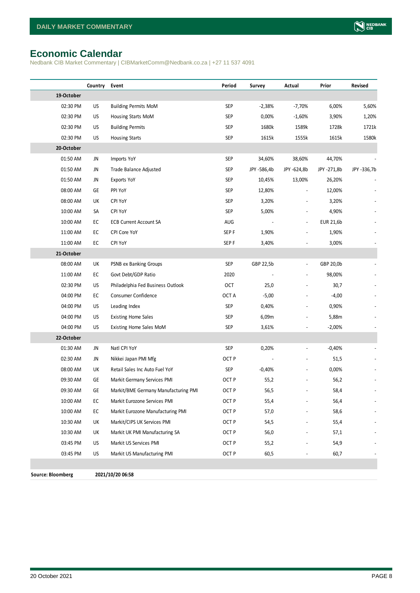## <span id="page-7-0"></span>**Economic Calendar**

Nedbank CIB Market Commentary | CIBMarketComm@Nedbank.co.za | +27 11 537 4091

|                          | Country | Event                                | Period           | Survey      | Actual                   | Prior       | Revised     |
|--------------------------|---------|--------------------------------------|------------------|-------------|--------------------------|-------------|-------------|
| 19-October               |         |                                      |                  |             |                          |             |             |
| 02:30 PM                 | US      | <b>Building Permits MoM</b>          | <b>SEP</b>       | $-2,38%$    | $-7,70%$                 | 6,00%       | 5,60%       |
| 02:30 PM                 | US      | Housing Starts MoM                   | SEP              | 0,00%       | $-1,60%$                 | 3,90%       | 1,20%       |
| 02:30 PM                 | US      | <b>Building Permits</b>              | <b>SEP</b>       | 1680k       | 1589k                    | 1728k       | 1721k       |
| 02:30 PM                 | US      | <b>Housing Starts</b>                | SEP              | 1615k       | 1555k                    | 1615k       | 1580k       |
| 20-October               |         |                                      |                  |             |                          |             |             |
| 01:50 AM                 | JN      | Imports YoY                          | SEP              | 34,60%      | 38,60%                   | 44,70%      |             |
| 01:50 AM                 | JN      | Trade Balance Adjusted               | SEP              | JPY -586,4b | JPY -624,8b              | JPY -271,8b | JPY -336,7b |
| 01:50 AM                 | JN      | Exports YoY                          | <b>SEP</b>       | 10,45%      | 13,00%                   | 26,20%      |             |
| 08:00 AM                 | GE      | PPI YoY                              | <b>SEP</b>       | 12,80%      |                          | 12,00%      |             |
| 08:00 AM                 | UK      | <b>CPI YoY</b>                       | <b>SEP</b>       | 3,20%       |                          | 3,20%       |             |
| 10:00 AM                 | SA      | <b>CPI YoY</b>                       | <b>SEP</b>       | 5,00%       |                          | 4,90%       |             |
| 10:00 AM                 | EC      | <b>ECB Current Account SA</b>        | AUG              |             |                          | EUR 21,6b   |             |
| 11:00 AM                 | EC      | CPI Core YoY                         | SEP <sub>F</sub> | 1,90%       |                          | 1,90%       |             |
| 11:00 AM                 | EC      | CPI YoY                              | SEP <sub>F</sub> | 3,40%       |                          | 3,00%       |             |
| 21-October               |         |                                      |                  |             |                          |             |             |
| 08:00 AM                 | UK      | PSNB ex Banking Groups               | SEP              | GBP 22,5b   | $\overline{a}$           | GBP 20,0b   |             |
| 11:00 AM                 | EC      | Govt Debt/GDP Ratio                  | 2020             |             | $\overline{a}$           | 98,00%      |             |
| 02:30 PM                 | US      | Philadelphia Fed Business Outlook    | OCT              | 25,0        |                          | 30,7        |             |
| 04:00 PM                 | EC      | Consumer Confidence                  | OCT A            | $-5,00$     |                          | $-4,00$     |             |
| 04:00 PM                 | US      | Leading Index                        | SEP              | 0,40%       |                          | 0,90%       |             |
| 04:00 PM                 | US      | <b>Existing Home Sales</b>           | SEP              | 6,09m       | $\overline{a}$           | 5,88m       |             |
| 04:00 PM                 | US      | Existing Home Sales MoM              | <b>SEP</b>       | 3,61%       |                          | $-2,00\%$   |             |
| 22-October               |         |                                      |                  |             |                          |             |             |
| 01:30 AM                 | JN      | Natl CPI YoY                         | SEP              | 0,20%       | $\overline{\phantom{a}}$ | $-0,40%$    |             |
| 02:30 AM                 | JN      | Nikkei Japan PMI Mfg                 | OCT <sub>P</sub> |             |                          | 51,5        |             |
| 08:00 AM                 | UK      | Retail Sales Inc Auto Fuel YoY       | SEP              | $-0,40%$    |                          | 0,00%       |             |
| 09:30 AM                 | GE      | Markit Germany Services PMI          | OCT <sub>P</sub> | 55,2        |                          | 56,2        |             |
| 09:30 AM                 | GE      | Markit/BME Germany Manufacturing PMI | OCT <sub>P</sub> | 56,5        |                          | 58,4        |             |
| 10:00 AM                 | EC      | Markit Eurozone Services PMI         | OCT <sub>P</sub> | 55,4        |                          | 56,4        |             |
| 10:00 AM                 | EC      | Markit Eurozone Manufacturing PMI    | OCT <sub>P</sub> | 57,0        |                          | 58,6        |             |
| 10:30 AM                 | UK      | Markit/CIPS UK Services PMI          | OCT <sub>P</sub> | 54,5        |                          | 55,4        |             |
| 10:30 AM                 | UK      | Markit UK PMI Manufacturing SA       | OCT <sub>P</sub> | 56,0        |                          | 57,1        |             |
| 03:45 PM                 | US      | Markit US Services PMI               | OCT P            | 55,2        |                          | 54,9        |             |
| 03:45 PM                 | US      | Markit US Manufacturing PMI          | OCT P            | 60,5        |                          | 60,7        |             |
|                          |         |                                      |                  |             |                          |             |             |
| <b>Source: Bloomberg</b> |         | 2021/10/20 06:58                     |                  |             |                          |             |             |